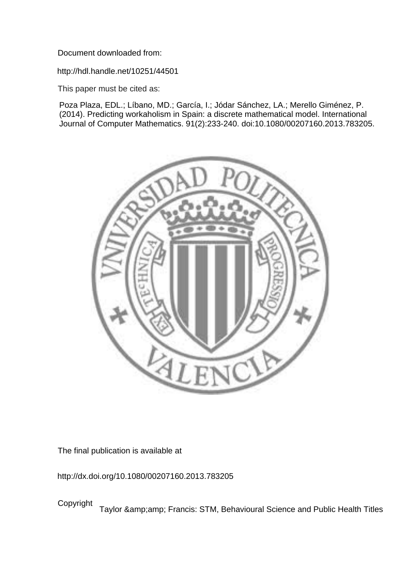Document downloaded from:

http://hdl.handle.net/10251/44501

This paper must be cited as:

Poza Plaza, EDL.; Líbano, MD.; García, I.; Jódar Sánchez, LA.; Merello Giménez, P. (2014). Predicting workaholism in Spain: a discrete mathematical model. International Journal of Computer Mathematics. 91(2):233-240. doi:10.1080/00207160.2013.783205.



The final publication is available at

http://dx.doi.org/10.1080/00207160.2013.783205

Copyright Taylor & amp; amp; Francis: STM, Behavioural Science and Public Health Titles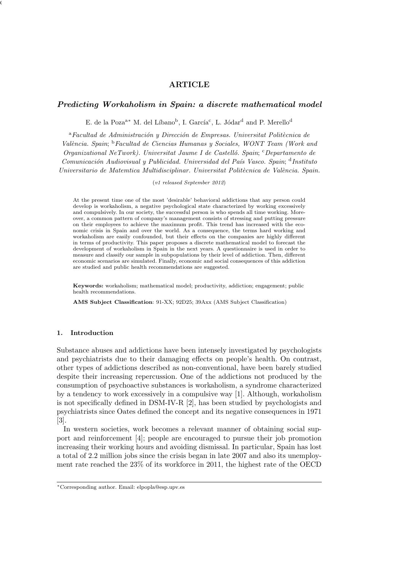# ARTICLE

 $\overline{a}$  1, 2012 15:11 International of Computer Mathematics Workaholism  $\overline{a}$ 

# Predicting Workaholism in Spain: a discrete mathematical model

E. de la Poza<sup>a\*</sup> M. del Líbano<sup>b</sup>, I. García<sup>c</sup>, L. Jódar<sup>d</sup> and P. Merello<sup>d</sup>

 $a$ Facultad de Administración y Dirección de Empresas. Universitat Politècnica de Val`encia. Spain; <sup>b</sup>Facultad de Ciencias Humanas y Sociales, WONT Team (Work and Organizational NeTwork). Universitat Jaume I de Castelló. Spain:  $c$ Departamento de Comunicación Audiovisual y Publicidad. Universidad del País Vasco. Spain; <sup>d</sup>Instituto Universitario de Matemtica Multidisciplinar. Universitat Politècnica de València. Spain.

(v1 released September 2012)

At the present time one of the most 'desirable' behavioral addictions that any person could develop is workaholism, a negative psychological state characterized by working excessively and compulsively. In our society, the successful person is who spends all time working. Moreover, a common pattern of company's management consists of stressing and putting pressure on their employees to achieve the maximum profit. This trend has increased with the economic crisis in Spain and over the world. As a consequence, the terms hard working and workaholism are easily confounded, but their effects on the companies are highly different in terms of productivity. This paper proposes a discrete mathematical model to forecast the development of workaholism in Spain in the next years. A questionnaire is used in order to measure and classify our sample in subpopulations by their level of addiction. Then, different economic scenarios are simulated. Finally, economic and social consequences of this addiction are studied and public health recommendations are suggested.

Keywords: workaholism; mathematical model; productivity, addiction; engagement; public health recommendations.

AMS Subject Classification: 91-XX; 92D25; 39Axx (AMS Subject Classification)

# 1. Introduction

Substance abuses and addictions have been intensely investigated by psychologists and psychiatrists due to their damaging effects on people's health. On contrast, other types of addictions described as non-conventional, have been barely studied despite their increasing repercussion. One of the addictions not produced by the consumption of psychoactive substances is workaholism, a syndrome characterized by a tendency to work excessively in a compulsive way [1]. Although, workaholism is not specifically defined in DSM-IV-R [2], has been studied by psychologists and psychiatrists since Oates defined the concept and its negative consequences in 1971 [3].

In western societies, work becomes a relevant manner of obtaining social support and reinforcement [4]; people are encouraged to pursue their job promotion increasing their working hours and avoiding dismissal. In particular, Spain has lost a total of 2.2 million jobs since the crisis began in late 2007 and also its unemployment rate reached the 23% of its workforce in 2011, the highest rate of the OECD

<sup>∗</sup>Corresponding author. Email: elpopla@esp.upv.es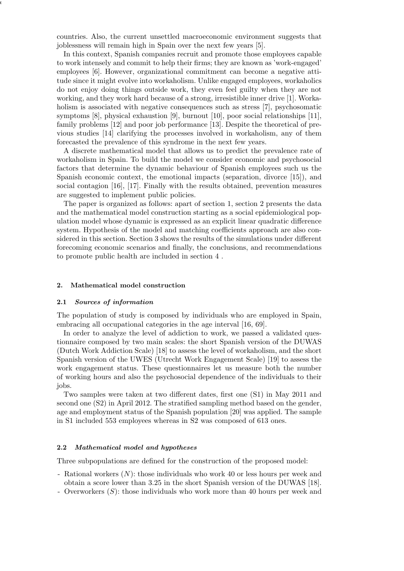countries. Also, the current unsettled macroeconomic environment suggests that joblessness will remain high in Spain over the next few years [5].

In this context, Spanish companies recruit and promote those employees capable to work intensely and commit to help their firms; they are known as 'work-engaged' employees [6]. However, organizational commitment can become a negative attitude since it might evolve into workaholism. Unlike engaged employees, workaholics do not enjoy doing things outside work, they even feel guilty when they are not working, and they work hard because of a strong, irresistible inner drive [1]. Workaholism is associated with negative consequences such as stress [7], psychosomatic symptoms [8], physical exhaustion [9], burnout [10], poor social relationships [11], family problems [12] and poor job performance [13]. Despite the theoretical of previous studies [14] clarifying the processes involved in workaholism, any of them forecasted the prevalence of this syndrome in the next few years.

A discrete mathematical model that allows us to predict the prevalence rate of workaholism in Spain. To build the model we consider economic and psychosocial factors that determine the dynamic behaviour of Spanish employees such us the Spanish economic context, the emotional impacts (separation, divorce [15]), and social contagion [16], [17]. Finally with the results obtained, prevention measures are suggested to implement public policies.

The paper is organized as follows: apart of section 1, section 2 presents the data and the mathematical model construction starting as a social epidemiological population model whose dynamic is expressed as an explicit linear quadratic difference system. Hypothesis of the model and matching coefficients approach are also considered in this section. Section 3 shows the results of the simulations under different forecoming economic scenarios and finally, the conclusions, and recommendations to promote public health are included in section 4 .

## 2. Mathematical model construction

 $\overline{a}$  1, 2012 15:11 International of Computer Mathematics Workaholism  $\overline{a}$ 

## 2.1 Sources of information

The population of study is composed by individuals who are employed in Spain, embracing all occupational categories in the age interval [16, 69].

In order to analyze the level of addiction to work, we passed a validated questionnaire composed by two main scales: the short Spanish version of the DUWAS (Dutch Work Addiction Scale) [18] to assess the level of workaholism, and the short Spanish version of the UWES (Utrecht Work Engagement Scale) [19] to assess the work engagement status. These questionnaires let us measure both the number of working hours and also the psychosocial dependence of the individuals to their jobs.

Two samples were taken at two different dates, first one (S1) in May 2011 and second one (S2) in April 2012. The stratified sampling method based on the gender, age and employment status of the Spanish population [20] was applied. The sample in S1 included 553 employees whereas in S2 was composed of 613 ones.

# 2.2 Mathematical model and hypotheses

Three subpopulations are defined for the construction of the proposed model:

- Rational workers (N): those individuals who work 40 or less hours per week and obtain a score lower than 3.25 in the short Spanish version of the DUWAS [18].
- Overworkers (S): those individuals who work more than 40 hours per week and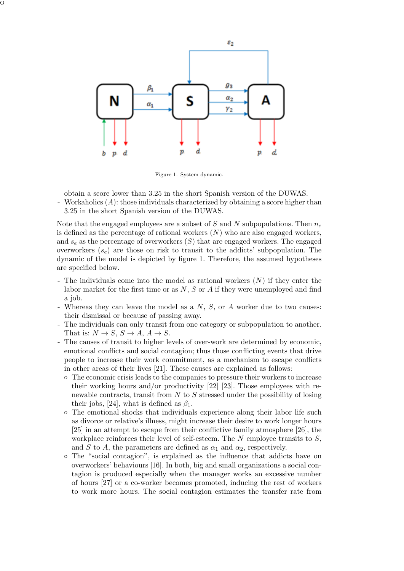

Figure 1. System dynamic.

obtain a score lower than 3.25 in the short Spanish version of the DUWAS.

- Workaholics (A): those individuals characterized by obtaining a score higher than 3.25 in the short Spanish version of the DUWAS.

Note that the engaged employees are a subset of S and N subpopulations. Then  $n_e$ is defined as the percentage of rational workers  $(N)$  who are also engaged workers, and  $s_e$  as the percentage of overworkers  $(S)$  that are engaged workers. The engaged overworkers  $(s_e)$  are those on risk to transit to the addicts' subpopulation. The dynamic of the model is depicted by figure 1. Therefore, the assumed hypotheses are specified below.

- The individuals come into the model as rational workers  $(N)$  if they enter the labor market for the first time or as  $N$ ,  $S$  or  $A$  if they were unemployed and find a job.
- Whereas they can leave the model as a  $N, S$ , or  $A$  worker due to two causes: their dismissal or because of passing away.
- The individuals can only transit from one category or subpopulation to another. That is:  $N \to S$ ,  $S \to A$ ,  $A \to S$ .
- The causes of transit to higher levels of over-work are determined by economic, emotional conflicts and social contagion; thus those conflicting events that drive people to increase their work commitment, as a mechanism to escape conflicts in other areas of their lives [21]. These causes are explained as follows:
	- The economic crisis leads to the companies to pressure their workers to increase their working hours and/or productivity [22] [23]. Those employees with renewable contracts, transit from  $N$  to  $S$  stressed under the possibility of losing their jobs, [24], what is defined as  $\beta_1$ .
	- The emotional shocks that individuals experience along their labor life such as divorce or relative's illness, might increase their desire to work longer hours [25] in an attempt to escape from their conflictive family atmosphere [26], the workplace reinforces their level of self-esteem. The  $N$  employee transits to  $S$ , and S to A, the parameters are defined as  $\alpha_1$  and  $\alpha_2$ , respectively.
	- The "social contagion", is explained as the influence that addicts have on overworkers' behaviours [16]. In both, big and small organizations a social contagion is produced especially when the manager works an excessive number of hours [27] or a co-worker becomes promoted, inducing the rest of workers to work more hours. The social contagion estimates the transfer rate from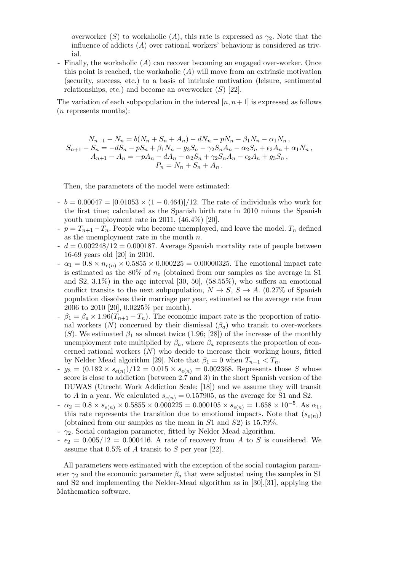overworker (S) to workaholic (A), this rate is expressed as  $\gamma_2$ . Note that the influence of addicts  $(A)$  over rational workers' behaviour is considered as trivial.

- Finally, the workaholic (A) can recover becoming an engaged over-worker. Once this point is reached, the workaholic  $(A)$  will move from an extrinsic motivation (security, success, etc.) to a basis of intrinsic motivation (leisure, sentimental relationships, etc.) and become an overworker  $(S)$  [22].

The variation of each subpopulation in the interval  $[n, n+1]$  is expressed as follows (n represents months):

$$
N_{n+1} - N_n = b(N_n + S_n + A_n) - dN_n - pN_n - \beta_1 N_n - \alpha_1 N_n,
$$
  
\n
$$
S_{n+1} - S_n = -dS_n - pS_n + \beta_1 N_n - g_3 S_n - \gamma_2 S_n A_n - \alpha_2 S_n + \epsilon_2 A_n + \alpha_1 N_n,
$$
  
\n
$$
A_{n+1} - A_n = -pA_n - dA_n + \alpha_2 S_n + \gamma_2 S_n A_n - \epsilon_2 A_n + g_3 S_n,
$$
  
\n
$$
P_n = N_n + S_n + A_n.
$$

Then, the parameters of the model were estimated:

- $b = 0.00047 = [0.01053 \times (1 0.464)]/12$ . The rate of individuals who work for the first time; calculated as the Spanish birth rate in 2010 minus the Spanish youth unemployment rate in 2011, (46.4%) [20].
- $p = T_{n+1} T_n$ . People who become unemployed, and leave the model.  $T_n$  defined as the unemployment rate in the month  $n$ .
- $d = 0.002248/12 = 0.000187$ . Average Spanish mortality rate of people between 16-69 years old [20] in 2010.
- $\alpha_1 = 0.8 \times n_{e(n)} \times 0.5855 \times 0.000225 = 0.00000325$ . The emotional impact rate is estimated as the 80% of  $n_e$  (obtained from our samples as the average in S1 and S2,  $3.1\%$ ) in the age interval [30, 50], (58.55%), who suffers an emotional conflict transits to the next subpopulation,  $N \to S$ ,  $S \to A$ . (0.27% of Spanish population dissolves their marriage per year, estimated as the average rate from 2006 to 2010 [20], 0.0225% per month).
- $-\beta_1 = \beta_a \times 1.96(T_{n+1} T_n)$ . The economic impact rate is the proportion of rational workers  $(N)$  concerned by their dismissal  $(\beta_a)$  who transit to over-workers (S). We estimated  $\beta_1$  as almost twice (1.96; [28]) of the increase of the monthly unemployment rate multiplied by  $\beta_a$ , where  $\beta_a$  represents the proportion of concerned rational workers  $(N)$  who decide to increase their working hours, fitted by Nelder Mead algorithm [29]. Note that  $\beta_1 = 0$  when  $T_{n+1} < T_n$ .
- $g_3 = (0.182 \times s_{e(n)})/12 = 0.015 \times s_{e(n)} = 0.002368$ . Represents those S whose score is close to addiction (between 2.7 and 3) in the short Spanish version of the DUWAS (Utrecht Work Addiction Scale; [18]) and we assume they will transit to A in a year. We calculated  $s_{e(n)} = 0.157905$ , as the average for S1 and S2.
- $\alpha_2 = 0.8 \times s_{e(n)} \times 0.5855 \times 0.000225 = 0.000105 \times s_{e(n)} = 1.658 \times 10^{-5}$ . As  $\alpha_1$ , this rate represents the transition due to emotional impacts. Note that  $(s_{e(n)})$ (obtained from our samples as the mean in  $S1$  and  $S2$ ) is 15.79%.
- $-\gamma_2$ . Social contagion parameter, fitted by Nelder Mead algorithm.
- $\epsilon_2 = 0.005/12 = 0.000416$ . A rate of recovery from A to S is considered. We assume that  $0.5\%$  of A transit to S per year [22].

All parameters were estimated with the exception of the social contagion parameter  $\gamma_2$  and the economic parameter  $\beta_a$  that were adjusted using the samples in S1 and S2 and implementing the Nelder-Mead algorithm as in [30],[31], applying the Mathematica software.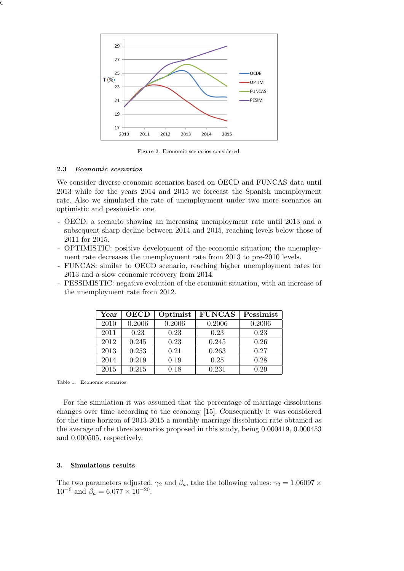

Figure 2. Economic scenarios considered.

## 2.3 Economic scenarios

We consider diverse economic scenarios based on OECD and FUNCAS data until 2013 while for the years 2014 and 2015 we forecast the Spanish unemployment rate. Also we simulated the rate of unemployment under two more scenarios an optimistic and pessimistic one.

- OECD: a scenario showing an increasing unemployment rate until 2013 and a subsequent sharp decline between 2014 and 2015, reaching levels below those of 2011 for 2015.
- OPTIMISTIC: positive development of the economic situation; the unemployment rate decreases the unemployment rate from 2013 to pre-2010 levels.
- FUNCAS: similar to OECD scenario, reaching higher unemployment rates for 2013 and a slow economic recovery from 2014.
- PESSIMISTIC: negative evolution of the economic situation, with an increase of the unemployment rate from 2012.

| $\operatorname{Year}$ | <b>OECD</b> | Optimist | <b>FUNCAS</b> | Pessimist |
|-----------------------|-------------|----------|---------------|-----------|
| 2010                  | 0.2006      | 0.2006   | 0.2006        | 0.2006    |
| 2011                  | 0.23        | 0.23     | 0.23          | 0.23      |
| 2012                  | 0.245       | 0.23     | 0.245         | 0.26      |
| 2013                  | 0.253       | 0.21     | 0.263         | 0.27      |
| 2014                  | 0.219       | 0.19     | 0.25          | 0.28      |
| 2015                  | 0.215       | 0.18     | 0.231         | 0.29      |

Table 1. Economic scenarios.

For the simulation it was assumed that the percentage of marriage dissolutions changes over time according to the economy [15]. Consequently it was considered for the time horizon of 2013-2015 a monthly marriage dissolution rate obtained as the average of the three scenarios proposed in this study, being 0.000419, 0.000453 and 0.000505, respectively.

# 3. Simulations results

The two parameters adjusted,  $\gamma_2$  and  $\beta_a$ , take the following values:  $\gamma_2 = 1.06097 \times$  $10^{-6}$  and  $\beta_a = 6.077 \times 10^{-20}$ .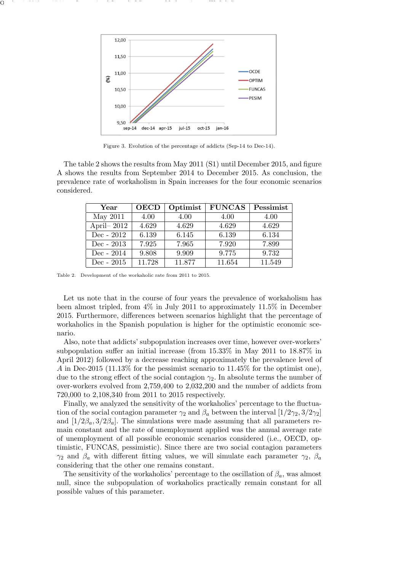

Figure 3. Evolution of the percentage of addicts (Sep-14 to Dec-14).

The table 2 shows the results from May 2011 (S1) until December 2015, and figure A shows the results from September 2014 to December 2015. As conclusion, the prevalence rate of workaholism in Spain increases for the four economic scenarios considered.

| Year          | <b>OECD</b> | Optimist | <b>FUNCAS</b> | Pessimist |
|---------------|-------------|----------|---------------|-----------|
| May 2011      | 4.00        | 4.00     | 4.00          | 4.00      |
| April- $2012$ | 4.629       | 4.629    | 4.629         | 4.629     |
| $Dec - 2012$  | 6.139       | 6.145    | 6.139         | 6.134     |
| Dec - $2013$  | 7.925       | 7.965    | 7.920         | 7.899     |
| $Dec - 2014$  | 9.808       | 9.909    | 9.775         | 9.732     |
| Dec - $2015$  | 11.728      | 11.877   | 11.654        | 11.549    |

Table 2. Development of the workaholic rate from 2011 to 2015.

Let us note that in the course of four years the prevalence of workaholism has been almost tripled, from 4% in July 2011 to approximately 11.5% in December 2015. Furthermore, differences between scenarios highlight that the percentage of workaholics in the Spanish population is higher for the optimistic economic scenario.

Also, note that addicts' subpopulation increases over time, however over-workers' subpopulation suffer an initial increase (from 15.33% in May 2011 to 18.87% in April 2012) followed by a decrease reaching approximately the prevalence level of A in Dec-2015 (11.13% for the pessimist scenario to  $11.45\%$  for the optimist one), due to the strong effect of the social contagion  $\gamma_2$ . In absolute terms the number of over-workers evolved from 2,759,400 to 2,032,200 and the number of addicts from 720,000 to 2,108,340 from 2011 to 2015 respectively.

Finally, we analyzed the sensitivity of the workaholics' percentage to the fluctuation of the social contagion parameter  $\gamma_2$  and  $\beta_a$  between the interval  $[1/2\gamma_2, 3/2\gamma_2]$ and  $[1/2\beta_a, 3/2\beta_a]$ . The simulations were made assuming that all parameters remain constant and the rate of unemployment applied was the annual average rate of unemployment of all possible economic scenarios considered (i.e., OECD, optimistic, FUNCAS, pessimistic). Since there are two social contagion parameters  $\gamma_2$  and  $\beta_a$  with different fitting values, we will simulate each parameter  $\gamma_2$ ,  $\beta_a$ considering that the other one remains constant.

The sensitivity of the workaholics' percentage to the oscillation of  $\beta_a$ , was almost null, since the subpopulation of workaholics practically remain constant for all possible values of this parameter.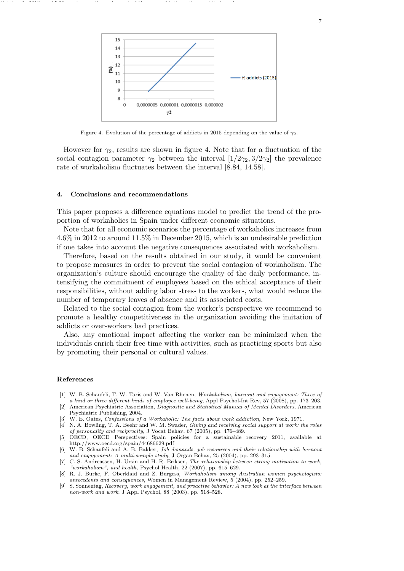

Figure 4. Evolution of the percentage of addicts in 2015 depending on the value of  $\gamma_2$ .

However for  $\gamma_2$ , results are shown in figure 4. Note that for a fluctuation of the social contagion parameter  $\gamma_2$  between the interval  $[1/2\gamma_2, 3/2\gamma_2]$  the prevalence rate of workaholism fluctuates between the interval [8.84, 14.58].

#### 4. Conclusions and recommendations

October 1, 2012 15:11 International Journal of Computer Mathematics Workaholism

This paper proposes a difference equations model to predict the trend of the proportion of workaholics in Spain under different economic situations.

Note that for all economic scenarios the percentage of workaholics increases from 4.6% in 2012 to around 11.5% in December 2015, which is an undesirable prediction if one takes into account the negative consequences associated with workaholism.

Therefore, based on the results obtained in our study, it would be convenient to propose measures in order to prevent the social contagion of workaholism. The organization's culture should encourage the quality of the daily performance, intensifying the commitment of employees based on the ethical acceptance of their responsibilities, without adding labor stress to the workers, what would reduce the number of temporary leaves of absence and its associated costs.

Related to the social contagion from the worker's perspective we recommend to promote a healthy competitiveness in the organization avoiding the imitation of addicts or over-workers bad practices.

Also, any emotional impact affecting the worker can be minimized when the individuals enrich their free time with activities, such as practicing sports but also by promoting their personal or cultural values.

#### References

- [1] W. B. Schaufeli, T. W. Taris and W. Van Rhenen, Workaholism, burnout and engagement: Three of a kind or three different kinds of employee well-being, Appl Psychol-Int Rev, 57 (2008), pp. 173–203.
- American Psychiatric Association, Diagnostic and Statistical Manual of Mental Disorders, American Psychiatric Publishing, 2004.
- W. E. Oates, Confessions of a Workaholic: The facts about work addiction, New York, 1971.
- [4] N. A. Bowling, T. A. Beehr and W. M. Swader, Giving and receiving social support at work: the roles of personality and reciprocity, J Vocat Behav, 67 (2005), pp. 476–489.
- [5] OECD, OECD Perspectives: Spain policies for a sustainable recovery 2011, available at http://www.oecd.org/spain/44686629.pdf
- [6] W. B. Schaufeli and A. B. Bakker, Job demands, job resources and their relationship with burnout and engagement: A multi-sample study, J Organ Behav, 25 (2004), pp. 293–315.
- [7] C. S. Andreassen, H. Ursin and H. R. Eriksen, The relationship between strong motivation to work, "workaholism", and health, Psychol Health,  $22$  (2007), pp. 615–629.
- [8] R. J. Burke, F. Oberklaid and Z. Burgess, Workaholism among Australian women psychologists: antecedents and consequences, Women in Management Review, 5 (2004), pp. 252–259.
- [9] S. Sonnentag, Recovery, work engagement, and proactive behavior: A new look at the interface between non-work and work, J Appl Psychol, 88 (2003), pp. 518–528.